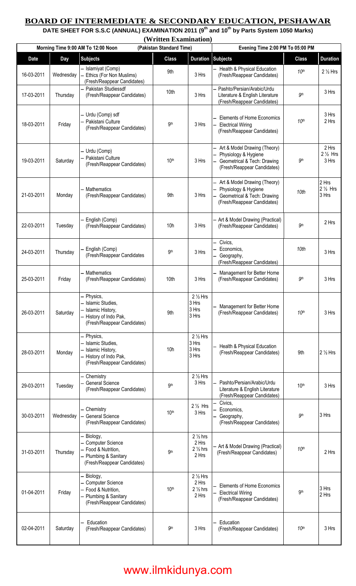## **BOARD OF INTERMEDIATE & SECONDARY EDUCATION, PESHAWAR**

**DATE SHEET FOR S.S.C (ANNUAL) EXAMINATION 2011 (9th and 10th by Parts System 1050 Marks)** 

**(Written Examination)** 

| Morning Time 9:00 AM To 12:00 Noon |            |                                                                                                                 | (Pakistan Standard Time) |                                                            | Evening Time 2:00 PM To 05:00 PM                                                                                   |                  |                                      |  |
|------------------------------------|------------|-----------------------------------------------------------------------------------------------------------------|--------------------------|------------------------------------------------------------|--------------------------------------------------------------------------------------------------------------------|------------------|--------------------------------------|--|
| <b>Date</b>                        | <b>Day</b> | <b>Subjects</b>                                                                                                 | <b>Class</b>             |                                                            | <b>Duration Subjects</b>                                                                                           | <b>Class</b>     | <b>Duration</b>                      |  |
| 16-03-2011                         | Wednesday  | - Islamiyat (Comp)<br>Ethics (For Non Muslims)<br>(Fresh/Reappear Candidates)                                   | 9th                      | 3 Hrs                                                      | Health & Physical Education<br>(Fresh/Reappear Candidates)                                                         | 10 <sup>th</sup> | $2\frac{1}{2}$ Hrs                   |  |
| 17-03-2011                         | Thursday   | - Pakistan Studiessdf<br>(Fresh/Reappear Candidates)                                                            | 10th                     | 3 Hrs                                                      | Pashto/Persian/Arabic/Urdu<br>Literature & English Literature<br>(Fresh/Reappear Candidates)                       | <b>gth</b>       | 3 Hrs                                |  |
| 18-03-2011                         | Friday     | - Urdu (Comp) sdf<br>- Pakistani Culture<br>(Fresh/Reappear Candidates)                                         | 9 <sup>th</sup>          | 3 Hrs                                                      | <b>Elements of Home Economics</b><br><b>Electrical Wiring</b><br>(Fresh/Reappear Candidates)                       | 10 <sup>th</sup> | 3 Hrs<br>2 Hrs                       |  |
| 19-03-2011                         | Saturday   | - Urdu (Comp)<br>- Pakistani Culture<br>(Fresh/Reappear Candidates)                                             | 10 <sup>th</sup>         | 3 Hrs                                                      | Art & Model Drawing (Theory)<br>Physiology & Hygiene<br>Geometrical & Tech: Drawing<br>(Fresh/Reappear Candidates) | <b>9th</b>       | 2 Hrs<br>$2\frac{1}{2}$ Hrs<br>3 Hrs |  |
| 21-03-2011                         | Monday     | - Mathematics<br>(Fresh/Reappear Candidates)                                                                    | 9th                      | 3 Hrs                                                      | Art & Model Drawing (Theory)<br>Physiology & Hygiene<br>Geometrical & Tech: Drawing<br>(Fresh/Reappear Candidates) | 10th             | 2 Hrs<br>$2\frac{1}{2}$ Hrs<br>3 Hrs |  |
| 22-03-2011                         | Tuesday    | - English (Comp)<br>(Fresh/Reappear Candidates)                                                                 | 10h                      | 3 Hrs                                                      | - Art & Model Drawing (Practical)<br>(Fresh/Reappear Candidates)                                                   | <b>9th</b>       | 2 Hrs                                |  |
| 24-03-2011                         | Thursday   | English (Comp)<br>(Fresh/Reappear Candidates                                                                    | 9 <sub>th</sub>          | 3 Hrs                                                      | Civics,<br>Economics,<br>Geography,<br>(Fresh/Reappear Candidates)                                                 | 10th             | 3 Hrs                                |  |
| 25-03-2011                         | Friday     | - Mathematics<br>(Fresh/Reappear Candidates)                                                                    | 10th                     | 3 Hrs                                                      | Management for Better Home<br>(Fresh/Reappear Candidates)                                                          | 9 <sup>th</sup>  | 3 Hrs                                |  |
| 26-03-2011                         | Saturday   | – Physics,<br>- Islamic Studies,<br>- Islamic History,<br>- History of Indo Pak,<br>(Fresh/Reappear Candidates) | 9th                      | $2\frac{1}{2}$ Hrs<br>3 Hrs<br>3 Hrs<br>3 Hrs              | Management for Better Home<br>(Fresh/Reappear Candidates)                                                          | 10 <sup>th</sup> | 3 Hrs                                |  |
| 28-03-2011                         | Monday     | - Physics,<br>- Islamic Studies,<br>Islamic History,<br>History of Indo Pak,<br>(Fresh/Reappear Candidates)     | 10h                      | $2\frac{1}{2}$ Hrs<br>3 Hrs<br>3 Hrs<br>3 Hrs              | Health & Physical Education<br>(Fresh/Reappear Candidates)                                                         | 9th              | $2\frac{1}{2}$ Hrs                   |  |
| 29-03-2011                         | Tuesday    | - Chemistry<br>- General Science<br>(Fresh/Reappear Candidates)                                                 | 9 <sup>th</sup>          | $2\frac{1}{2}$ Hrs<br>3 Hrs                                | Pashto/Persian/Arabic/Urdu<br>Literature & English Literature<br>(Fresh/Reappear Candidates)                       | 10 <sup>th</sup> | 3 Hrs                                |  |
| 30-03-2011                         | Wednesday  | - Chemistry<br><b>General Science</b><br>(Fresh/Reappear Candidates)                                            | 10 <sup>th</sup>         | $2\frac{1}{2}$ Hrs<br>3 Hrs                                | Civics,<br>Economics,<br>Geography,<br>(Fresh/Reappear Candidates)                                                 | 9 <sup>th</sup>  | 3 Hrs                                |  |
| 31-03-2011                         | Thursday   | - Biology,<br>- Computer Science<br>- Food & Nutrition,<br>- Plumbing & Sanitary<br>(Fresh/Reappear Candidates) | <b>9th</b>               | $2\frac{1}{2}$ hrs<br>2 Hrs<br>$2\frac{1}{2}$ hrs<br>2 Hrs | - Art & Model Drawing (Practical)<br>(Fresh/Reappear Candidates)                                                   | 10 <sup>th</sup> | 2 Hrs                                |  |
| 01-04-2011                         | Friday     | Biology,<br>- Computer Science<br>- Food & Nutrition,<br>Plumbing & Sanitary<br>(Fresh/Reappear Candidates)     | 10 <sup>th</sup>         | $2\frac{1}{2}$ Hrs<br>2 Hrs<br>$2\frac{1}{2}$ hrs<br>2 Hrs | <b>Elements of Home Economics</b><br><b>Electrical Wiring</b><br>(Fresh/Reappear Candidates)                       | <b>9th</b>       | 3 Hrs<br>2 Hrs                       |  |
| 02-04-2011                         | Saturday   | Education<br>(Fresh/Reappear Candidates)                                                                        | <b>9th</b>               | 3 Hrs                                                      | Education<br>(Fresh/Reappear Candidates)                                                                           | 10 <sup>th</sup> | 3 Hrs                                |  |

## www.ilmkidunya.com